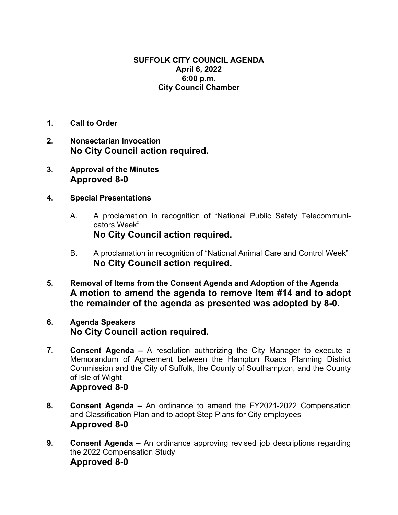## **SUFFOLK CITY COUNCIL AGENDA April 6, 2022 6:00 p.m. City Council Chamber**

- **1. Call to Order**
- **2. Nonsectarian Invocation No City Council action required.**
- **3. Approval of the Minutes Approved 8-0**
- **4. Special Presentations**
	- A. A proclamation in recognition of "National Public Safety Telecommunicators Week" **No City Council action required.**
	- B. A proclamation in recognition of "National Animal Care and Control Week" **No City Council action required.**
- **5. Removal of Items from the Consent Agenda and Adoption of the Agenda A motion to amend the agenda to remove Item #14 and to adopt the remainder of the agenda as presented was adopted by 8-0.**

## **6. Agenda Speakers No City Council action required.**

- **7. Consent Agenda** A resolution authorizing the City Manager to execute a Memorandum of Agreement between the Hampton Roads Planning District Commission and the City of Suffolk, the County of Southampton, and the County of Isle of Wight **Approved 8-0**
- **8. Consent Agenda** An ordinance to amend the FY2021-2022 Compensation and Classification Plan and to adopt Step Plans for City employees **Approved 8-0**
- **9. Consent Agenda –** An ordinance approving revised job descriptions regarding the 2022 Compensation Study **Approved 8-0**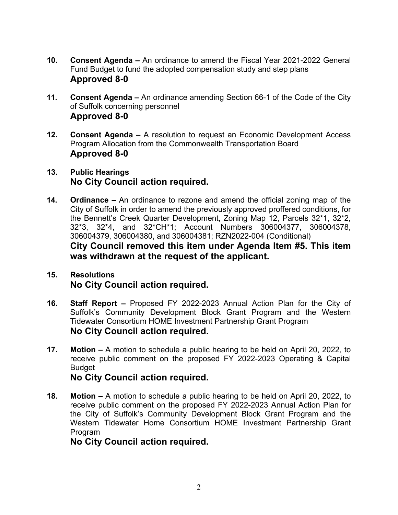- **10. Consent Agenda** An ordinance to amend the Fiscal Year 2021-2022 General Fund Budget to fund the adopted compensation study and step plans **Approved 8-0**
- **11. Consent Agenda** An ordinance amending Section 66-1 of the Code of the City of Suffolk concerning personnel **Approved 8-0**
- **12. Consent Agenda** A resolution to request an Economic Development Access Program Allocation from the Commonwealth Transportation Board **Approved 8-0**
- **13. Public Hearings No City Council action required.**
- **14. Ordinance** An ordinance to rezone and amend the official zoning map of the City of Suffolk in order to amend the previously approved proffered conditions, for the Bennett's Creek Quarter Development, Zoning Map 12, Parcels 32\*1, 32\*2, 32\*3, 32\*4, and 32\*CH\*1; Account Numbers 306004377, 306004378, 306004379, 306004380, and 306004381; RZN2022-004 (Conditional) **City Council removed this item under Agenda Item #5. This item was withdrawn at the request of the applicant.**

## **15. Resolutions No City Council action required.**

- **16. Staff Report** Proposed FY 2022-2023 Annual Action Plan for the City of Suffolk's Community Development Block Grant Program and the Western Tidewater Consortium HOME Investment Partnership Grant Program **No City Council action required.**
- **17. Motion** A motion to schedule a public hearing to be held on April 20, 2022, to receive public comment on the proposed FY 2022-2023 Operating & Capital Budget

**No City Council action required.** 

**18. Motion –** A motion to schedule a public hearing to be held on April 20, 2022, to receive public comment on the proposed FY 2022-2023 Annual Action Plan for the City of Suffolk's Community Development Block Grant Program and the Western Tidewater Home Consortium HOME Investment Partnership Grant Program

**No City Council action required.**